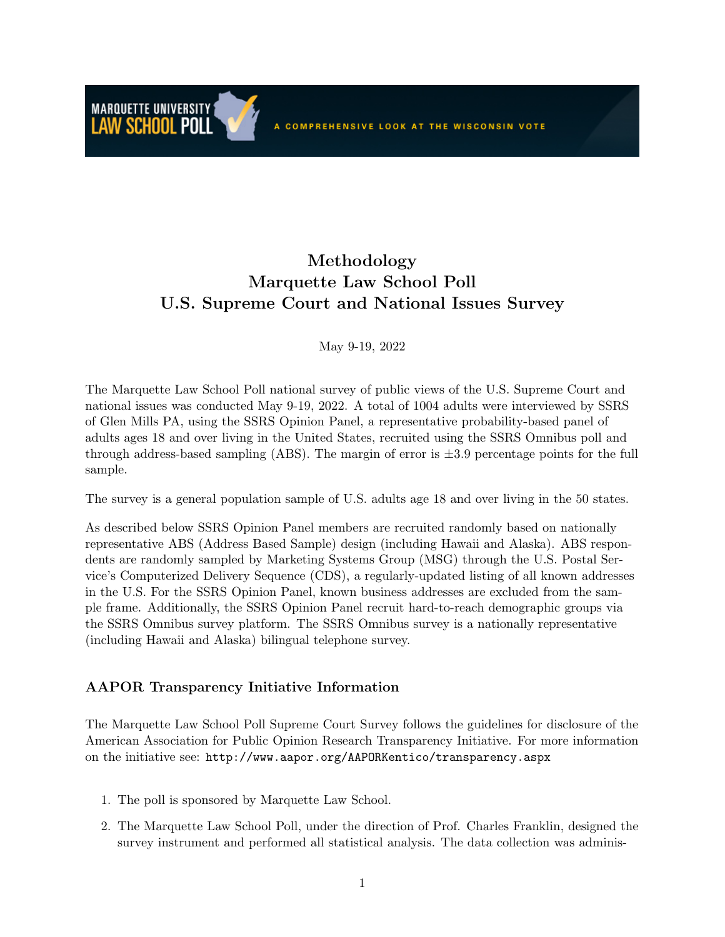### Methodology Marquette Law School Poll U.S. Supreme Court and National Issues Survey

May 9-19, 2022

The Marquette Law School Poll national survey of public views of the U.S. Supreme Court and national issues was conducted May 9-19, 2022. A total of 1004 adults were interviewed by SSRS of Glen Mills PA, using the SSRS Opinion Panel, a representative probability-based panel of adults ages 18 and over living in the United States, recruited using the SSRS Omnibus poll and through address-based sampling (ABS). The margin of error is  $\pm 3.9$  percentage points for the full sample.

The survey is a general population sample of U.S. adults age 18 and over living in the 50 states.

As described below SSRS Opinion Panel members are recruited randomly based on nationally representative ABS (Address Based Sample) design (including Hawaii and Alaska). ABS respondents are randomly sampled by Marketing Systems Group (MSG) through the U.S. Postal Service's Computerized Delivery Sequence (CDS), a regularly-updated listing of all known addresses in the U.S. For the SSRS Opinion Panel, known business addresses are excluded from the sample frame. Additionally, the SSRS Opinion Panel recruit hard-to-reach demographic groups via the SSRS Omnibus survey platform. The SSRS Omnibus survey is a nationally representative (including Hawaii and Alaska) bilingual telephone survey.

### AAPOR Transparency Initiative Information

**MARQUETTE UNIVERSITY** 

The Marquette Law School Poll Supreme Court Survey follows the guidelines for disclosure of the American Association for Public Opinion Research Transparency Initiative. For more information on the initiative see: http://www.aapor.org/AAPORKentico/transparency.aspx

- 1. The poll is sponsored by Marquette Law School.
- 2. The Marquette Law School Poll, under the direction of Prof. Charles Franklin, designed the survey instrument and performed all statistical analysis. The data collection was adminis-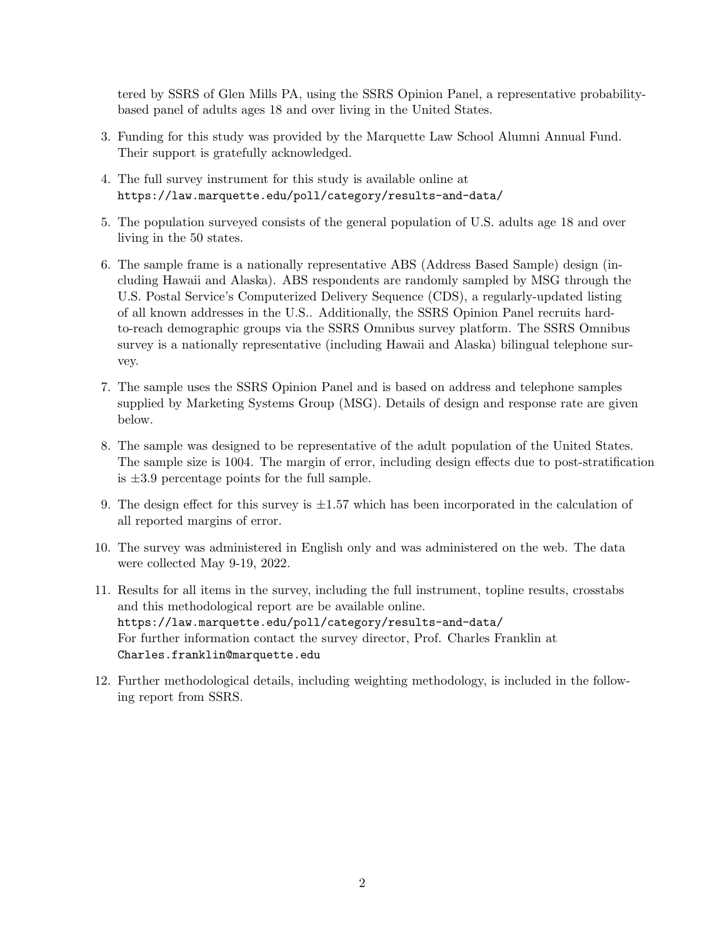tered by SSRS of Glen Mills PA, using the SSRS Opinion Panel, a representative probabilitybased panel of adults ages 18 and over living in the United States.

- 3. Funding for this study was provided by the Marquette Law School Alumni Annual Fund. Their support is gratefully acknowledged.
- 4. The full survey instrument for this study is available online at https://law.marquette.edu/poll/category/results-and-data/
- 5. The population surveyed consists of the general population of U.S. adults age 18 and over living in the 50 states.
- 6. The sample frame is a nationally representative ABS (Address Based Sample) design (including Hawaii and Alaska). ABS respondents are randomly sampled by MSG through the U.S. Postal Service's Computerized Delivery Sequence (CDS), a regularly-updated listing of all known addresses in the U.S.. Additionally, the SSRS Opinion Panel recruits hardto-reach demographic groups via the SSRS Omnibus survey platform. The SSRS Omnibus survey is a nationally representative (including Hawaii and Alaska) bilingual telephone survey.
- 7. The sample uses the SSRS Opinion Panel and is based on address and telephone samples supplied by Marketing Systems Group (MSG). Details of design and response rate are given below.
- 8. The sample was designed to be representative of the adult population of the United States. The sample size is 1004. The margin of error, including design effects due to post-stratification is  $\pm 3.9$  percentage points for the full sample.
- 9. The design effect for this survey is  $\pm 1.57$  which has been incorporated in the calculation of all reported margins of error.
- 10. The survey was administered in English only and was administered on the web. The data were collected May 9-19, 2022.
- 11. Results for all items in the survey, including the full instrument, topline results, crosstabs and this methodological report are be available online. https://law.marquette.edu/poll/category/results-and-data/ For further information contact the survey director, Prof. Charles Franklin at Charles.franklin@marquette.edu
- 12. Further methodological details, including weighting methodology, is included in the following report from SSRS.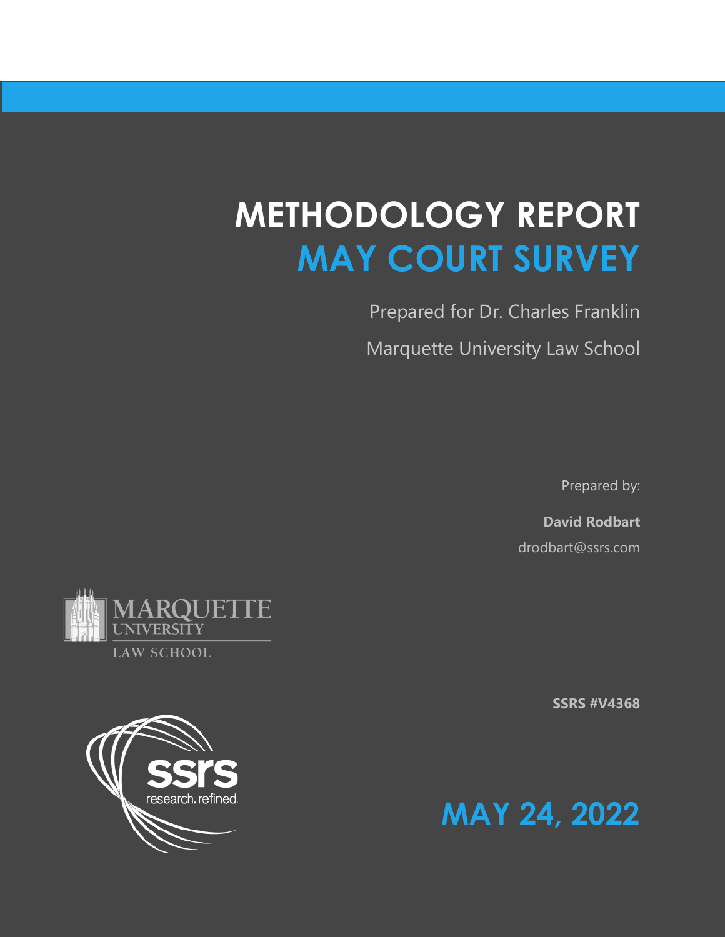# **METHODOLOGY REPORT MAY COURT SURVEY**

Prepared for Dr. Charles Franklin Marquette University Law School

Prepared by:

**David Rodbart**  drodbart@ssrs.com







UNIVERSITY **LAW SCHOOL** 

**JUETTE**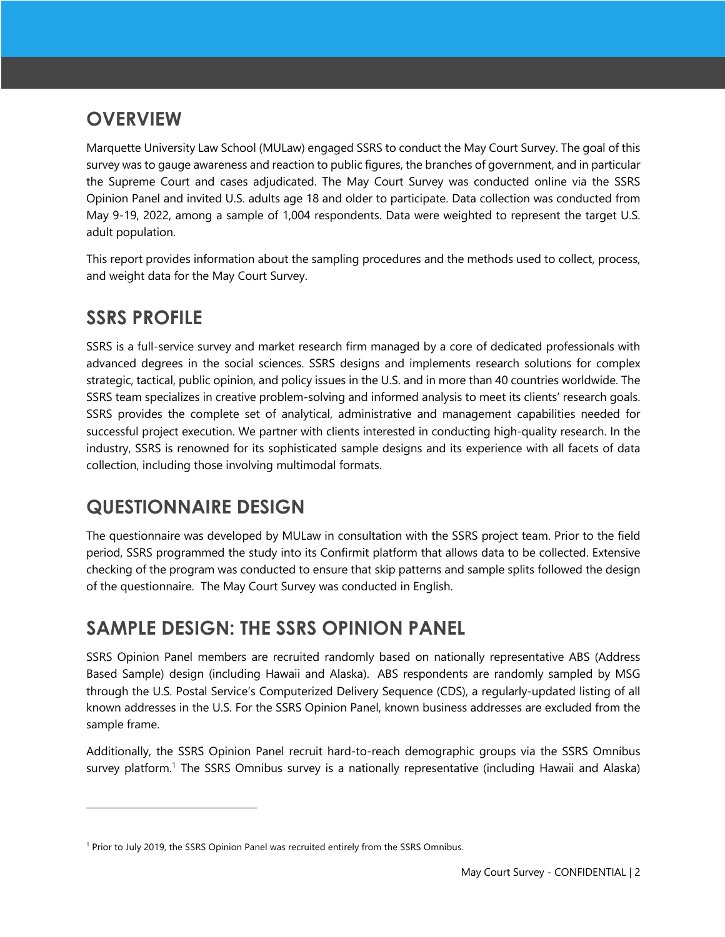# **OVERVIEW**

Marquette University Law School (MULaw) engaged SSRS to conduct the May Court Survey. The goal of this survey was to gauge awareness and reaction to public figures, the branches of government, and in particular the Supreme Court and cases adjudicated. The May Court Survey was conducted online via the SSRS Opinion Panel and invited U.S. adults age 18 and older to participate. Data collection was conducted from May 9-19, 2022, among a sample of 1,004 respondents. Data were weighted to represent the target U.S. adult population.

This report provides information about the sampling procedures and the methods used to collect, process, and weight data for the May Court Survey.

# **SSRS PROFILE**

SSRS is a full-service survey and market research firm managed by a core of dedicated professionals with advanced degrees in the social sciences. SSRS designs and implements research solutions for complex strategic, tactical, public opinion, and policy issues in the U.S. and in more than 40 countries worldwide. The SSRS team specializes in creative problem-solving and informed analysis to meet its clients' research goals. SSRS provides the complete set of analytical, administrative and management capabilities needed for successful project execution. We partner with clients interested in conducting high-quality research. In the industry, SSRS is renowned for its sophisticated sample designs and its experience with all facets of data collection, including those involving multimodal formats.

# **QUESTIONNAIRE DESIGN**

The questionnaire was developed by MULaw in consultation with the SSRS project team. Prior to the field period, SSRS programmed the study into its Confirmit platform that allows data to be collected. Extensive checking of the program was conducted to ensure that skip patterns and sample splits followed the design of the questionnaire. The May Court Survey was conducted in English.

# **SAMPLE DESIGN: THE SSRS OPINION PANEL**

SSRS Opinion Panel members are recruited randomly based on nationally representative ABS (Address Based Sample) design (including Hawaii and Alaska). ABS respondents are randomly sampled by MSG through the U.S. Postal Service's Computerized Delivery Sequence (CDS), a regularly-updated listing of all known addresses in the U.S. For the SSRS Opinion Panel, known business addresses are excluded from the sample frame.

Additionally, the SSRS Opinion Panel recruit hard-to-reach demographic groups via the SSRS Omnibus survey platform.<sup>1</sup> The SSRS Omnibus survey is a nationally representative (including Hawaii and Alaska)

<sup>&</sup>lt;sup>1</sup> Prior to July 2019, the SSRS Opinion Panel was recruited entirely from the SSRS Omnibus.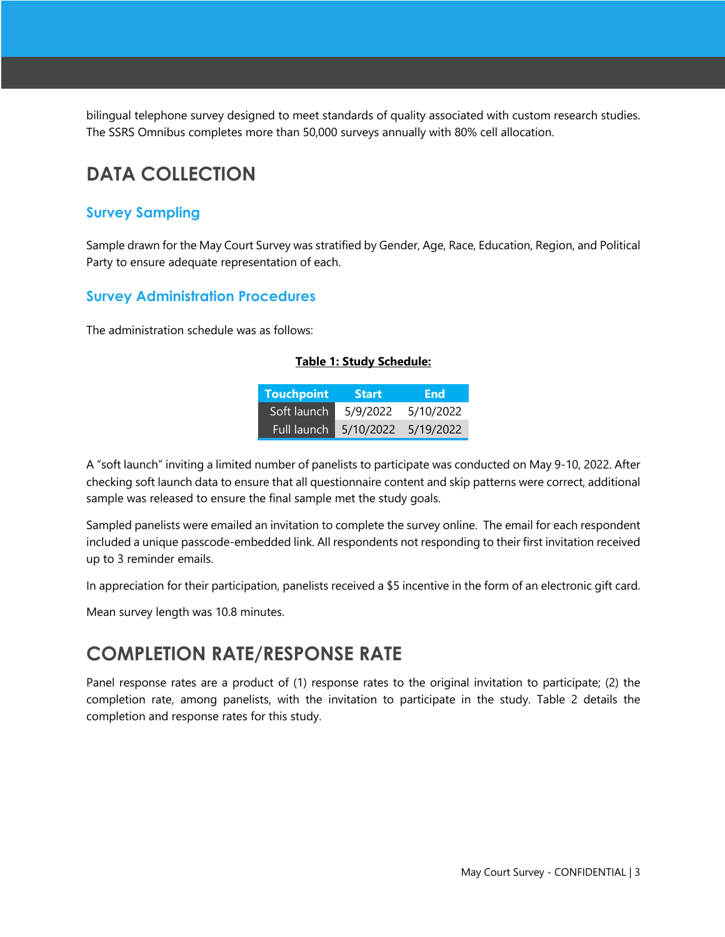bilingual telephone survey designed to meet standards of quality associated with custom research studies. The SSRS Omnibus completes more than 50,000 surveys annually with 80% cell allocation.

# **DATA COLLECTION**

### **Survey Sampling**

Sample drawn for the May Court Survey was stratified by Gender, Age, Race, Education, Region, and Political Party to ensure adequate representation of each.

### **Survey Administration Procedures**

The administration schedule was as follows:

#### **Table 1: Study Schedule:**

| <b>Touchpoint</b> | <b>Start</b> | End:      |
|-------------------|--------------|-----------|
| Soft launch       | 5/9/2022     | 5/10/2022 |
| Full launch       | 5/10/2022    | 5/19/2022 |

A "soft launch" inviting a limited number of panelists to participate was conducted on May 9-10, 2022. After checking soft launch data to ensure that all questionnaire content and skip patterns were correct, additional sample was released to ensure the final sample met the study goals.

Sampled panelists were emailed an invitation to complete the survey online. The email for each respondent included a unique passcode-embedded link. All respondents not responding to their first invitation received up to 3 reminder emails.

In appreciation for their participation, panelists received a \$5 incentive in the form of an electronic gift card.

Mean survey length was 10.8 minutes.

# **COMPLETION RATE/RESPONSE RATE**

Panel response rates are a product of (1) response rates to the original invitation to participate; (2) the completion rate, among panelists, with the invitation to participate in the study. Table 2 details the completion and response rates for this study.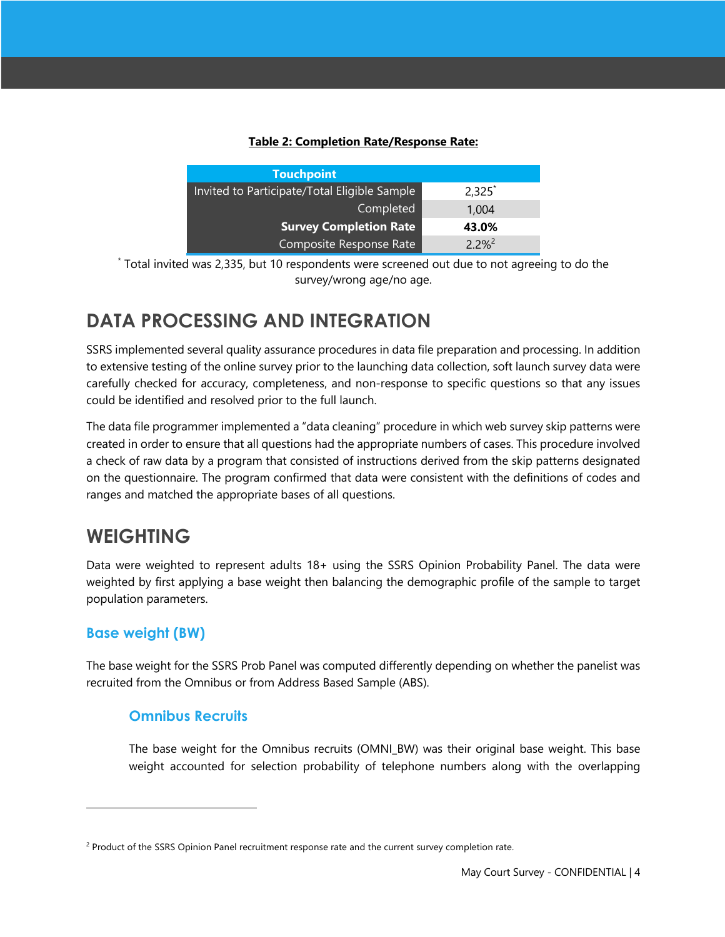#### **Table 2: Completion Rate/Response Rate:**

| <b>Touchpoint</b>                            |            |  |
|----------------------------------------------|------------|--|
| Invited to Participate/Total Eligible Sample | $2,325^*$  |  |
| Completed                                    | 1.004      |  |
| <b>Survey Completion Rate</b>                | 43.0%      |  |
| Composite Response Rate                      | $2.2%^{2}$ |  |

\* Total invited was 2,335, but 10 respondents were screened out due to not agreeing to do the survey/wrong age/no age.

# **DATA PROCESSING AND INTEGRATION**

SSRS implemented several quality assurance procedures in data file preparation and processing. In addition to extensive testing of the online survey prior to the launching data collection, soft launch survey data were carefully checked for accuracy, completeness, and non-response to specific questions so that any issues could be identified and resolved prior to the full launch.

The data file programmer implemented a "data cleaning" procedure in which web survey skip patterns were created in order to ensure that all questions had the appropriate numbers of cases. This procedure involved a check of raw data by a program that consisted of instructions derived from the skip patterns designated on the questionnaire. The program confirmed that data were consistent with the definitions of codes and ranges and matched the appropriate bases of all questions.

# **WEIGHTING**

Data were weighted to represent adults 18+ using the SSRS Opinion Probability Panel. The data were weighted by first applying a base weight then balancing the demographic profile of the sample to target population parameters.

### **Base weight (BW)**

The base weight for the SSRS Prob Panel was computed differently depending on whether the panelist was recruited from the Omnibus or from Address Based Sample (ABS).

### **Omnibus Recruits**

The base weight for the Omnibus recruits (OMNI BW) was their original base weight. This base weight accounted for selection probability of telephone numbers along with the overlapping

<sup>&</sup>lt;sup>2</sup> Product of the SSRS Opinion Panel recruitment response rate and the current survey completion rate.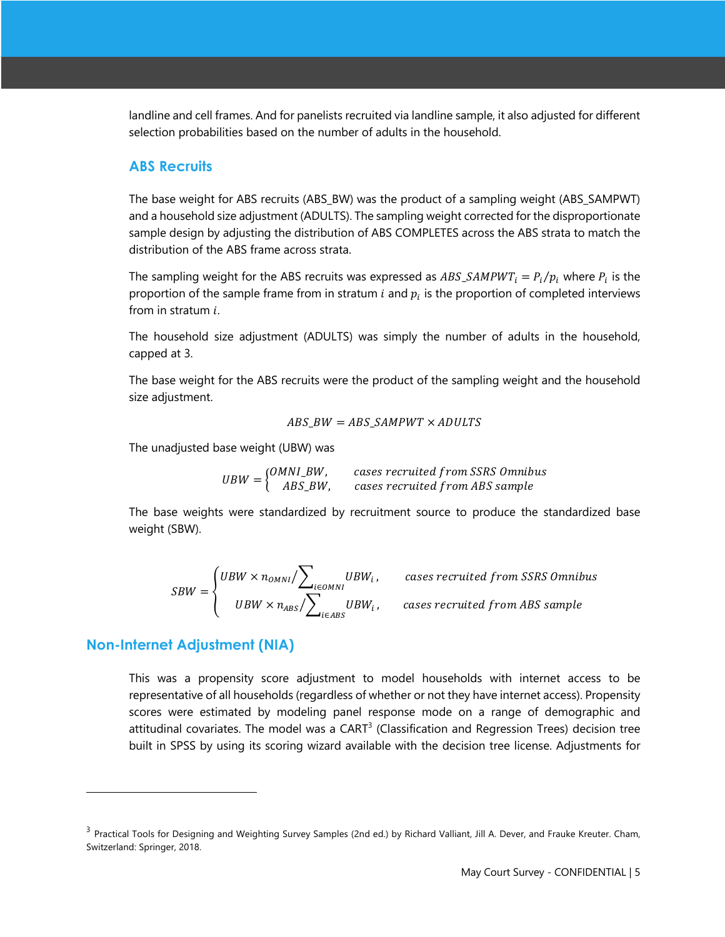landline and cell frames. And for panelists recruited via landline sample, it also adjusted for different selection probabilities based on the number of adults in the household.

#### **ABS Recruits**

The base weight for ABS recruits (ABS\_BW) was the product of a sampling weight (ABS\_SAMPWT) and a household size adjustment (ADULTS). The sampling weight corrected for the disproportionate sample design by adjusting the distribution of ABS COMPLETES across the ABS strata to match the distribution of the ABS frame across strata.

The sampling weight for the ABS recruits was expressed as  $ABS\_SAMPWT_i = P_i/p_i$  where  $P_i$  is the proportion of the sample frame from in stratum  $i$  and  $p_i$  is the proportion of completed interviews from in stratum  $i$ .

The household size adjustment (ADULTS) was simply the number of adults in the household, capped at 3.

The base weight for the ABS recruits were the product of the sampling weight and the household size adjustment.

$$
ABS\_BW = ABS\_SAMPWT \times ADULTS
$$

The unadjusted base weight (UBW) was

 $UBW = \begin{cases} OMNI\_BW, & \text{cases recruited from SSRS Omnibus} \\ \text{APS, BH} & \text{gauge normalized from APS example} \end{cases}$ ABS\_BW, cases recruited from ABS sample

The base weights were standardized by recruitment source to produce the standardized base weight (SBW).

$$
SBW = \begin{cases} UBW \times n_{OMNI} / \sum_{i \in OMNI} UBW_i, & \text{cases recruited from SSRS Omnibus} \\ UBW \times n_{ABS} / \sum_{i \in ABS} UBW_i, & \text{cases recruited from ABS sample} \end{cases}
$$

#### **Non-Internet Adjustment (NIA)**

This was a propensity score adjustment to model households with internet access to be representative of all households (regardless of whether or not they have internet access). Propensity scores were estimated by modeling panel response mode on a range of demographic and attitudinal covariates. The model was a CART<sup>3</sup> (Classification and Regression Trees) decision tree built in SPSS by using its scoring wizard available with the decision tree license. Adjustments for

<sup>&</sup>lt;sup>3</sup> Practical Tools for Designing and Weighting Survey Samples (2nd ed.) by Richard Valliant, Jill A. Dever, and Frauke Kreuter. Cham, Switzerland: Springer, 2018.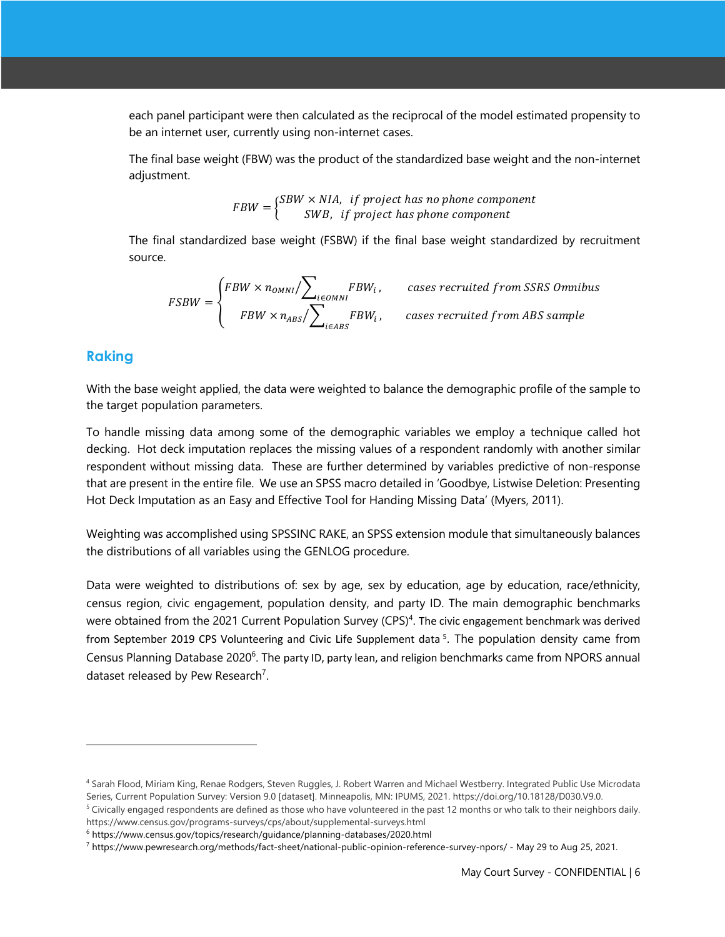each panel participant were then calculated as the reciprocal of the model estimated propensity to be an internet user, currently using non-internet cases.

The final base weight (FBW) was the product of the standardized base weight and the non-internet adjustment.

> $FBW = \begin{cases} SBW \times NIA, & \text{if project has no phone component} \\ SUB, & \text{if musical hexahene commonent} \end{cases}$ SWB, if project has phone component

The final standardized base weight (FSBW) if the final base weight standardized by recruitment source.

$$
FSBW = \begin{cases} FBW \times n_{OMNI} / \sum_{i \in OMNI} FBW_i, & \text{cases recruited from SSRS Omnibus} \\ FBW \times n_{ABS} / \sum_{i \in ABS} FBW_i, & \text{cases recruited from ABS sample} \end{cases}
$$

### **Raking**

With the base weight applied, the data were weighted to balance the demographic profile of the sample to the target population parameters.

To handle missing data among some of the demographic variables we employ a technique called hot decking. Hot deck imputation replaces the missing values of a respondent randomly with another similar respondent without missing data. These are further determined by variables predictive of non-response that are present in the entire file. We use an SPSS macro detailed in 'Goodbye, Listwise Deletion: Presenting Hot Deck Imputation as an Easy and Effective Tool for Handing Missing Data' (Myers, 2011).

Weighting was accomplished using SPSSINC RAKE, an SPSS extension module that simultaneously balances the distributions of all variables using the GENLOG procedure.

Data were weighted to distributions of: sex by age, sex by education, age by education, race/ethnicity, census region, civic engagement, population density, and party ID. The main demographic benchmarks were obtained from the 2021 Current Population Survey (CPS)<sup>4</sup>. The civic engagement benchmark was derived from September 2019 CPS Volunteering and Civic Life Supplement data<sup>5</sup>. The population density came from Census Planning Database 2020<sup>6</sup>. The party ID, party lean, and religion benchmarks came from NPORS annual dataset released by Pew Research<sup>7</sup>.

<sup>4</sup> Sarah Flood, Miriam King, Renae Rodgers, Steven Ruggles, J. Robert Warren and Michael Westberry. Integrated Public Use Microdata Series, Current Population Survey: Version 9.0 [dataset]. Minneapolis, MN: IPUMS, 2021. https://doi.org/10.18128/D030.V9.0.

<sup>&</sup>lt;sup>5</sup> Civically engaged respondents are defined as those who have volunteered in the past 12 months or who talk to their neighbors daily. https://www.census.gov/programs-surveys/cps/about/supplemental-surveys.html

<sup>6</sup> https://www.census.gov/topics/research/guidance/planning-databases/2020.html

<sup>7</sup> https://www.pewresearch.org/methods/fact-sheet/national-public-opinion-reference-survey-npors/ - May 29 to Aug 25, 2021.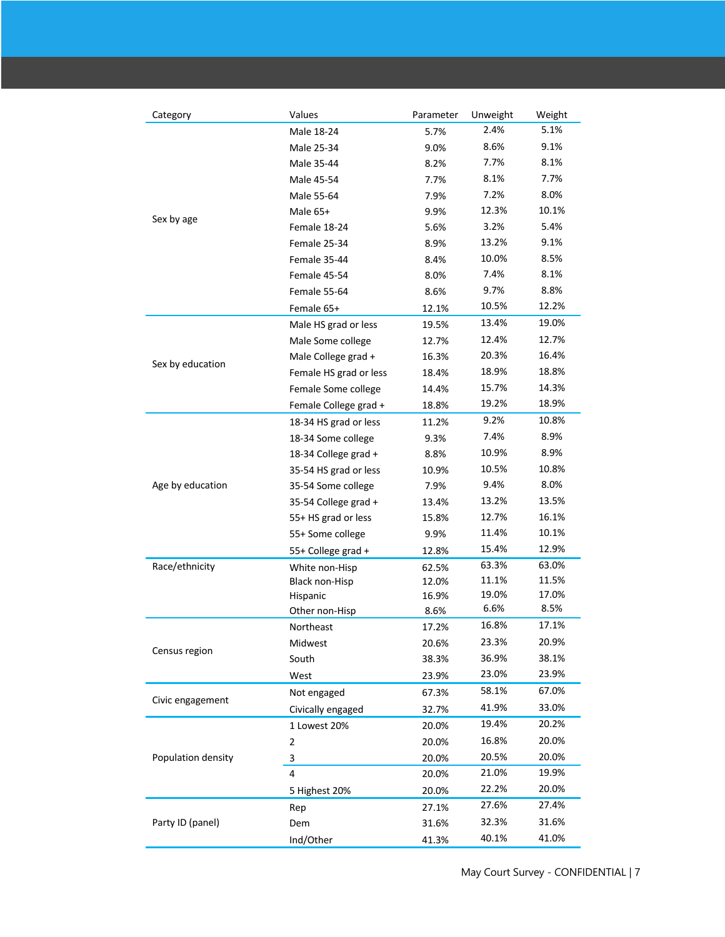| Category           | Values                     | Parameter      | Unweight       | Weight         |
|--------------------|----------------------------|----------------|----------------|----------------|
| Sex by age         | Male 18-24                 | 5.7%           | 2.4%           | 5.1%           |
|                    | Male 25-34                 | 9.0%           | 8.6%           | 9.1%           |
|                    | Male 35-44                 | 8.2%           | 7.7%           | 8.1%           |
|                    | Male 45-54                 | 7.7%           | 8.1%           | 7.7%           |
|                    | Male 55-64                 | 7.9%           | 7.2%           | 8.0%           |
|                    | Male 65+                   | 9.9%           | 12.3%          | 10.1%          |
|                    | Female 18-24               | 5.6%           | 3.2%           | 5.4%           |
|                    | Female 25-34               | 8.9%           | 13.2%          | 9.1%           |
|                    | Female 35-44               | 8.4%           | 10.0%          | 8.5%           |
|                    | Female 45-54               | 8.0%           | 7.4%           | 8.1%           |
|                    | Female 55-64               | 8.6%           | 9.7%           | 8.8%           |
|                    | Female 65+                 | 12.1%          | 10.5%          | 12.2%          |
| Sex by education   | Male HS grad or less       | 19.5%          | 13.4%          | 19.0%          |
|                    | Male Some college          | 12.7%          | 12.4%          | 12.7%          |
|                    | Male College grad +        | 16.3%          | 20.3%          | 16.4%          |
|                    | Female HS grad or less     | 18.4%          | 18.9%          | 18.8%          |
|                    | Female Some college        | 14.4%          | 15.7%          | 14.3%          |
|                    | Female College grad +      | 18.8%          | 19.2%          | 18.9%          |
|                    | 18-34 HS grad or less      | 11.2%          | 9.2%           | 10.8%          |
|                    | 18-34 Some college         | 9.3%           | 7.4%           | 8.9%           |
|                    | 18-34 College grad +       | 8.8%           | 10.9%          | 8.9%           |
|                    | 35-54 HS grad or less      | 10.9%          | 10.5%          | 10.8%          |
|                    | 35-54 Some college         | 7.9%           | 9.4%           | 8.0%           |
| Age by education   |                            |                | 13.2%          | 13.5%          |
|                    | 35-54 College grad +       | 13.4%          | 12.7%          | 16.1%          |
|                    | 55+ HS grad or less        | 15.8%          | 11.4%          | 10.1%          |
|                    | 55+ Some college           | 9.9%           | 15.4%          | 12.9%          |
|                    | 55+ College grad +         | 12.8%          |                |                |
| Race/ethnicity     | White non-Hisp             | 62.5%          | 63.3%<br>11.1% | 63.0%<br>11.5% |
|                    | <b>Black non-Hisp</b>      | 12.0%<br>16.9% | 19.0%          | 17.0%          |
|                    | Hispanic<br>Other non-Hisp | 8.6%           | 6.6%           | 8.5%           |
|                    | Northeast                  | 17.2%          | 16.8%          | 17.1%          |
|                    | Midwest                    | 20.6%          | 23.3%          | 20.9%          |
| Census region      | South                      | 38.3%          | 36.9%          | 38.1%          |
|                    | West                       | 23.9%          | 23.0%          | 23.9%          |
|                    |                            |                | 58.1%          | 67.0%          |
| Civic engagement   | Not engaged                | 67.3%          | 41.9%          | 33.0%          |
| Population density | Civically engaged          | 32.7%          | 19.4%          | 20.2%          |
|                    | 1 Lowest 20%               | 20.0%          |                |                |
|                    | 2                          | 20.0%          | 16.8%          | 20.0%          |
|                    | 3                          | 20.0%          | 20.5%          | 20.0%          |
|                    | $\overline{4}$             | 20.0%          | 21.0%          | 19.9%          |
|                    | 5 Highest 20%              | 20.0%          | 22.2%          | 20.0%          |
| Party ID (panel)   | Rep                        | 27.1%          | 27.6%          | 27.4%          |
|                    | Dem                        | 31.6%          | 32.3%          | 31.6%          |
|                    | Ind/Other                  | 41.3%          | 40.1%          | 41.0%          |